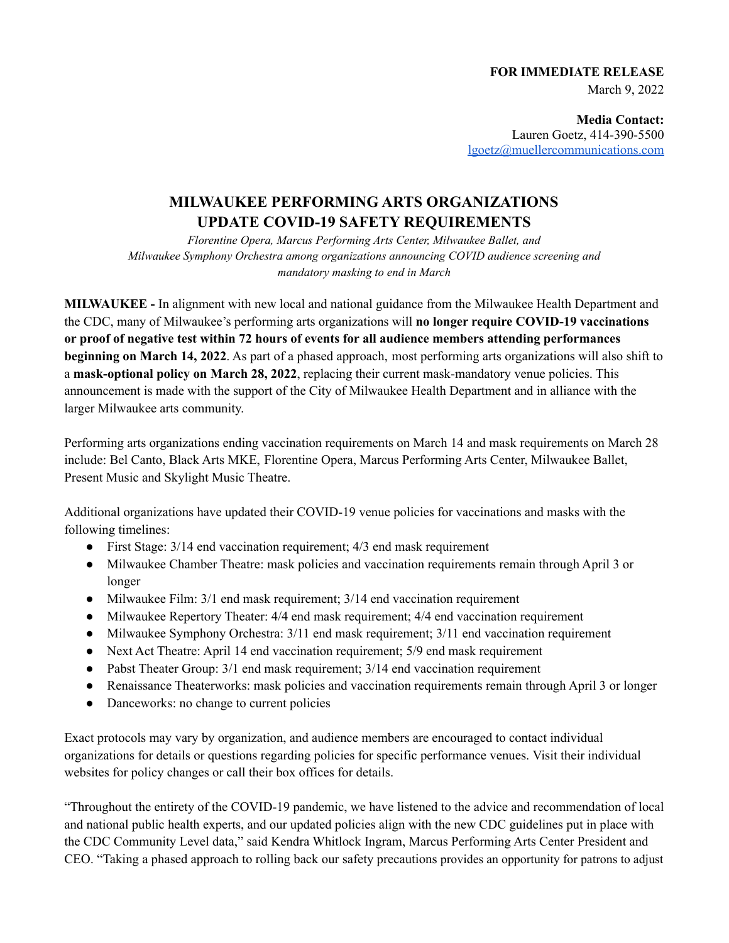# **FOR IMMEDIATE RELEASE** March 9, 2022

**Media Contact:** Lauren Goetz, 414-390-5500 [lgoetz@muellercommunications.com](mailto:lgoetz@muellercommunications.com)

# **MILWAUKEE PERFORMING ARTS ORGANIZATIONS UPDATE COVID-19 SAFETY REQUIREMENTS**

*Florentine Opera, Marcus Performing Arts Center, Milwaukee Ballet, and Milwaukee Symphony Orchestra among organizations announcing COVID audience screening and mandatory masking to end in March*

**MILWAUKEE -** In alignment with new local and national guidance from the Milwaukee Health Department and the CDC, many of Milwaukee's performing arts organizations will **no longer require COVID-19 vaccinations or proof of negative test within 72 hours of events for all audience members attending performances beginning on March 14, 2022**. As part of a phased approach, most performing arts organizations will also shift to a **mask-optional policy on March 28, 2022**, replacing their current mask-mandatory venue policies. This announcement is made with the support of the City of Milwaukee Health Department and in alliance with the larger Milwaukee arts community.

Performing arts organizations ending vaccination requirements on March 14 and mask requirements on March 28 include: Bel Canto, Black Arts MKE, Florentine Opera, Marcus Performing Arts Center, Milwaukee Ballet, Present Music and Skylight Music Theatre.

Additional organizations have updated their COVID-19 venue policies for vaccinations and masks with the following timelines:

- First Stage: 3/14 end vaccination requirement; 4/3 end mask requirement
- Milwaukee Chamber Theatre: mask policies and vaccination requirements remain through April 3 or longer
- Milwaukee Film: 3/1 end mask requirement; 3/14 end vaccination requirement
- Milwaukee Repertory Theater: 4/4 end mask requirement; 4/4 end vaccination requirement
- Milwaukee Symphony Orchestra: 3/11 end mask requirement; 3/11 end vaccination requirement
- Next Act Theatre: April 14 end vaccination requirement; 5/9 end mask requirement
- Pabst Theater Group: 3/1 end mask requirement; 3/14 end vaccination requirement
- Renaissance Theaterworks: mask policies and vaccination requirements remain through April 3 or longer
- Danceworks: no change to current policies

Exact protocols may vary by organization, and audience members are encouraged to contact individual organizations for details or questions regarding policies for specific performance venues. Visit their individual websites for policy changes or call their box offices for details.

"Throughout the entirety of the COVID-19 pandemic, we have listened to the advice and recommendation of local and national public health experts, and our updated policies align with the new CDC guidelines put in place with the CDC Community Level data," said Kendra Whitlock Ingram, Marcus Performing Arts Center President and CEO. "Taking a phased approach to rolling back our safety precautions provides an opportunity for patrons to adjust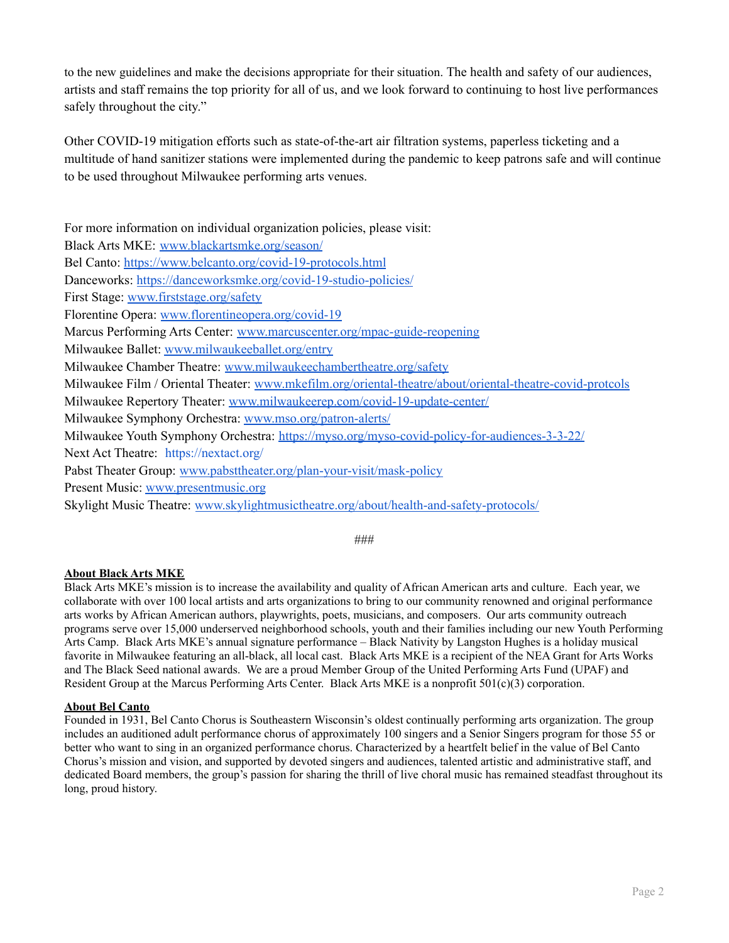to the new guidelines and make the decisions appropriate for their situation. The health and safety of our audiences, artists and staff remains the top priority for all of us, and we look forward to continuing to host live performances safely throughout the city."

Other COVID-19 mitigation efforts such as state-of-the-art air filtration systems, paperless ticketing and a multitude of hand sanitizer stations were implemented during the pandemic to keep patrons safe and will continue to be used throughout Milwaukee performing arts venues.

For more information on individual organization policies, please visit: Black Arts MKE: [www.blackartsmke.org/season/](https://blackartsmke.org/season/) Bel Canto: <https://www.belcanto.org/covid-19-protocols.html> Danceworks: <https://danceworksmke.org/covid-19-studio-policies/> First Stage: [www.firststage.org/safety](http://www.firststage.org/safety) Florentine Opera: [www.florentineopera.org/covid-19](https://www.florentineopera.org/covid-19) Marcus Performing Arts Center: [www.marcuscenter.org/mpac-guide-reopening](https://www.marcuscenter.org/mpac-guide-reopening) Milwaukee Ballet: [www.milwaukeeballet.org/entry](http://www.milwaukeeballet.org/entry) Milwaukee Chamber Theatre: [www.milwaukeechambertheatre.org/safety](https://www.milwaukeechambertheatre.org/safety) Milwaukee Film / Oriental Theater: [www.mkefilm.org/oriental-theatre/about/oriental-theatre-covid-protcols](https://mkefilm.org/oriental-theatre/about/oriental-theatre-covid-protcols) Milwaukee Repertory Theater: [www.milwaukeerep.com/covid-19-update-center/](https://www.milwaukeerep.com/covid-19-update-center/) Milwaukee Symphony Orchestra: [www.mso.org/patron-alerts/](http://www.mso.org/patron-alerts/) Milwaukee Youth Symphony Orchestra: <https://myso.org/myso-covid-policy-for-audiences-3-3-22/> Next Act Theatre: https://nextact.org/ Pabst Theater Group: [www.pabsttheater.org/plan-your-visit/mask-policy](https://www.pabsttheater.org/plan-your-visit/mask-policy) Present Music: [www.presentmusic.org](http://www.presentmusic.org/) Skylight Music Theatre: [www.skylightmusictheatre.org/about/health-and-safety-protocols/](https://www.skylightmusictheatre.org/about/health-and-safety-protocols/)

###

# **About Black Arts MKE**

Black Arts MKE's mission is to increase the availability and quality of African American arts and culture. Each year, we collaborate with over 100 local artists and arts organizations to bring to our community renowned and original performance arts works by African American authors, playwrights, poets, musicians, and composers. Our arts community outreach programs serve over 15,000 underserved neighborhood schools, youth and their families including our new Youth Performing Arts Camp. Black Arts MKE's annual signature performance – Black Nativity by Langston Hughes is a holiday musical favorite in Milwaukee featuring an all-black, all local cast. Black Arts MKE is a recipient of the NEA Grant for Arts Works and The Black Seed national awards. We are a proud Member Group of the United Performing Arts Fund (UPAF) and Resident Group at the Marcus Performing Arts Center. Black Arts MKE is a nonprofit 501(c)(3) corporation.

# **About Bel Canto**

Founded in 1931, Bel Canto Chorus is Southeastern Wisconsin's oldest continually performing arts organization. The group includes an auditioned adult performance chorus of approximately 100 singers and a Senior Singers program for those 55 or better who want to sing in an organized performance chorus. Characterized by a heartfelt belief in the value of Bel Canto Chorus's mission and vision, and supported by devoted singers and audiences, talented artistic and administrative staff, and dedicated Board members, the group's passion for sharing the thrill of live choral music has remained steadfast throughout its long, proud history.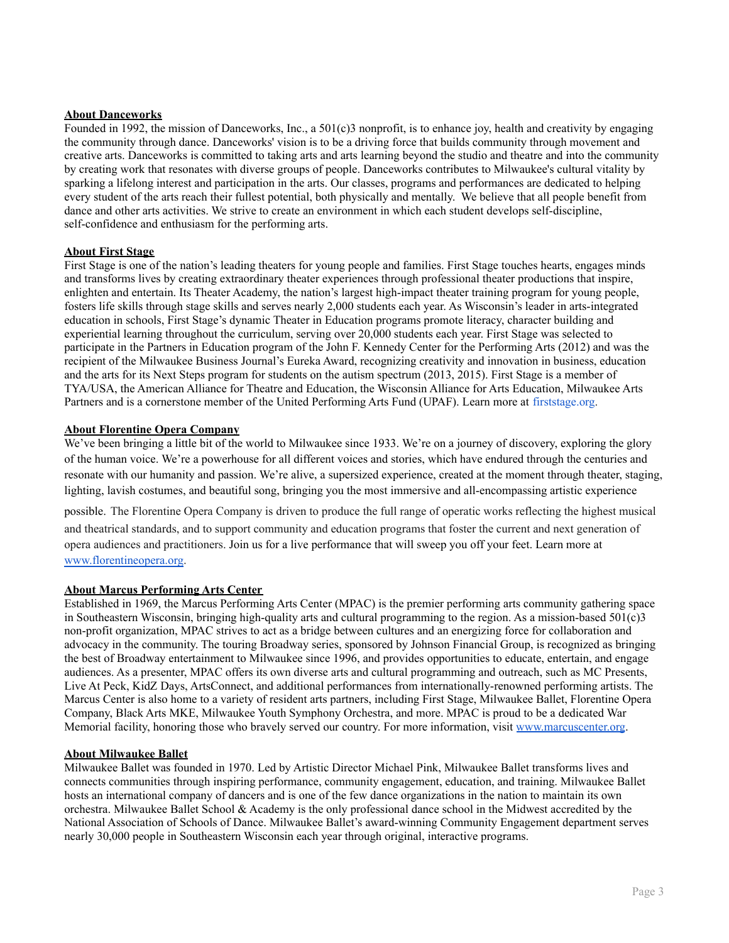# **About Danceworks**

Founded in 1992, the mission of Danceworks, Inc., a  $501(c)$ 3 nonprofit, is to enhance joy, health and creativity by engaging the community through dance. Danceworks' vision is to be a driving force that builds community through movement and creative arts. Danceworks is committed to taking arts and arts learning beyond the studio and theatre and into the community by creating work that resonates with diverse groups of people. Danceworks contributes to Milwaukee's cultural vitality by sparking a lifelong interest and participation in the arts. Our classes, programs and performances are dedicated to helping every student of the arts reach their fullest potential, both physically and mentally. We believe that all people benefit from dance and other arts activities. We strive to create an environment in which each student develops self-discipline, self-confidence and enthusiasm for the performing arts.

#### **About First Stage**

First Stage is one of the nation's leading theaters for young people and families. First Stage touches hearts, engages minds and transforms lives by creating extraordinary theater experiences through professional theater productions that inspire, enlighten and entertain. Its Theater Academy, the nation's largest high-impact theater training program for young people, fosters life skills through stage skills and serves nearly 2,000 students each year. As Wisconsin's leader in arts-integrated education in schools, First Stage's dynamic Theater in Education programs promote literacy, character building and experiential learning throughout the curriculum, serving over 20,000 students each year. First Stage was selected to participate in the Partners in Education program of the John F. Kennedy Center for the Performing Arts (2012) and was the recipient of the Milwaukee Business Journal's Eureka Award, recognizing creativity and innovation in business, education and the arts for its Next Steps program for students on the autism spectrum (2013, 2015). First Stage is a member of TYA/USA, the American Alliance for Theatre and Education, the Wisconsin Alliance for Arts Education, Milwaukee Arts Partners and is a cornerstone member of the United Performing Arts Fund (UPAF). Learn more at [firststage.org.](http://www.firststage.org/)

#### **About Florentine Opera Company**

We've been bringing a little bit of the world to Milwaukee since 1933. We're on a journey of discovery, exploring the glory of the human voice. We're a powerhouse for all different voices and stories, which have endured through the centuries and resonate with our humanity and passion. We're alive, a supersized experience, created at the moment through theater, staging, lighting, lavish costumes, and beautiful song, bringing you the most immersive and all-encompassing artistic experience

possible. The Florentine Opera Company is driven to produce the full range of operatic works reflecting the highest musical and theatrical standards, and to support community and education programs that foster the current and next generation of opera audiences and practitioners. Join us for a live performance that will sweep you off your feet. Learn more at [www.florentineopera.org](http://www.florentineopera.org/).

# **About Marcus Performing Arts Center**

Established in 1969, the Marcus Performing Arts Center (MPAC) is the premier performing arts community gathering space in Southeastern Wisconsin, bringing high-quality arts and cultural programming to the region. As a mission-based 501(c)3 non-profit organization, MPAC strives to act as a bridge between cultures and an energizing force for collaboration and advocacy in the community. The touring Broadway series, sponsored by Johnson Financial Group, is recognized as bringing the best of Broadway entertainment to Milwaukee since 1996, and provides opportunities to educate, entertain, and engage audiences. As a presenter, MPAC offers its own diverse arts and cultural programming and outreach, such as MC Presents, Live At Peck, KidZ Days, ArtsConnect, and additional performances from internationally-renowned performing artists. The Marcus Center is also home to a variety of resident arts partners, including First Stage, Milwaukee Ballet, Florentine Opera Company, Black Arts MKE, Milwaukee Youth Symphony Orchestra, and more. MPAC is proud to be a dedicated War Memorial facility, honoring those who bravely served our country. For more information, visit [www.marcuscenter.org](http://www.marcuscenter.org).

#### **About Milwaukee Ballet**

Milwaukee Ballet was founded in 1970. Led by Artistic Director Michael Pink, Milwaukee Ballet transforms lives and connects communities through inspiring performance, community engagement, education, and training. Milwaukee Ballet hosts an international company of dancers and is one of the few dance organizations in the nation to maintain its own orchestra. Milwaukee Ballet School & Academy is the only professional dance school in the Midwest accredited by the National Association of Schools of Dance. Milwaukee Ballet's award-winning Community Engagement department serves nearly 30,000 people in Southeastern Wisconsin each year through original, interactive programs.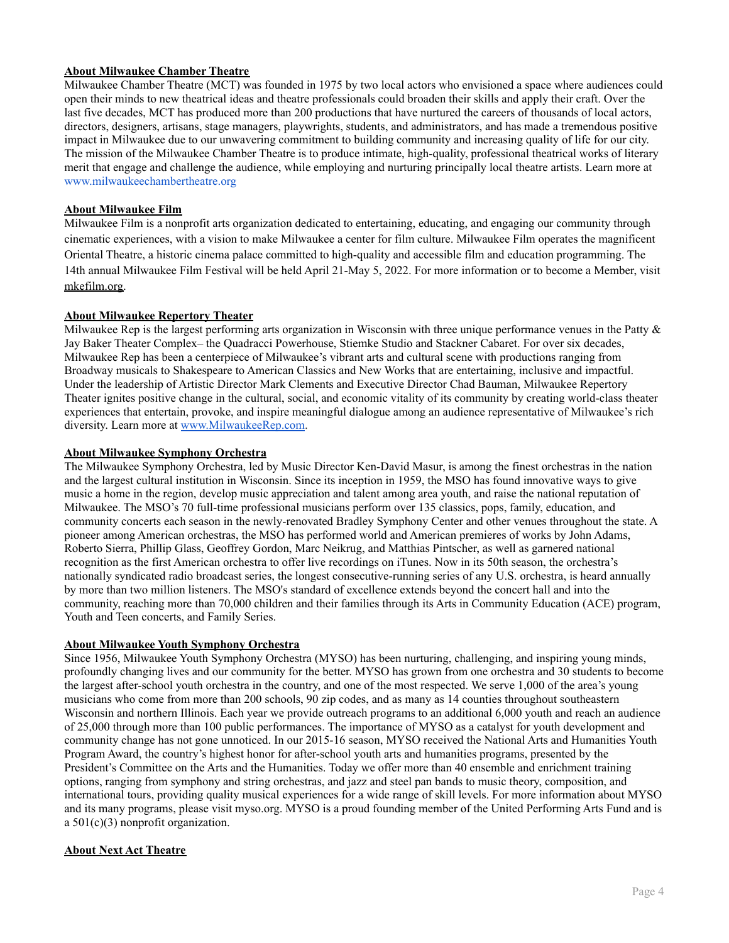# **About Milwaukee Chamber Theatre**

Milwaukee Chamber Theatre (MCT) was founded in 1975 by two local actors who envisioned a space where audiences could open their minds to new theatrical ideas and theatre professionals could broaden their skills and apply their craft. Over the last five decades, MCT has produced more than 200 productions that have nurtured the careers of thousands of local actors, directors, designers, artisans, stage managers, playwrights, students, and administrators, and has made a tremendous positive impact in Milwaukee due to our unwavering commitment to building community and increasing quality of life for our city. The mission of the Milwaukee Chamber Theatre is to produce intimate, high-quality, professional theatrical works of literary merit that engage and challenge the audience, while employing and nurturing principally local theatre artists. Learn more at [www.milwaukeechambertheatre.org](http://www.milwaukeechambertheatre.org/)

# **About Milwaukee Film**

Milwaukee Film is a nonprofit arts organization dedicated to entertaining, educating, and engaging our community through cinematic experiences, with a vision to make Milwaukee a center for film culture. Milwaukee Film operates the magnificent Oriental Theatre, a historic cinema palace committed to high-quality and accessible film and education programming. The 14th annual Milwaukee Film Festival will be held April 21-May 5, 2022. For more information or to become a Member, visit [mkefilm.org.](https://mkefilm.org/)

# **About Milwaukee Repertory Theater**

Milwaukee Rep is the largest performing arts organization in Wisconsin with three unique performance venues in the Patty & Jay Baker Theater Complex– the Quadracci Powerhouse, Stiemke Studio and Stackner Cabaret. For over six decades, Milwaukee Rep has been a centerpiece of Milwaukee's vibrant arts and cultural scene with productions ranging from Broadway musicals to Shakespeare to American Classics and New Works that are entertaining, inclusive and impactful. Under the leadership of Artistic Director Mark Clements and Executive Director Chad Bauman, Milwaukee Repertory Theater ignites positive change in the cultural, social, and economic vitality of its community by creating world-class theater experiences that entertain, provoke, and inspire meaningful dialogue among an audience representative of Milwaukee's rich diversity. Learn more at [www.MilwaukeeRep.com](http://www.milwaukeerep.com/).

# **About Milwaukee Symphony Orchestra**

The Milwaukee Symphony Orchestra, led by Music Director Ken-David Masur, is among the finest orchestras in the nation and the largest cultural institution in Wisconsin. Since its inception in 1959, the MSO has found innovative ways to give music a home in the region, develop music appreciation and talent among area youth, and raise the national reputation of Milwaukee. The MSO's 70 full-time professional musicians perform over 135 classics, pops, family, education, and community concerts each season in the newly-renovated Bradley Symphony Center and other venues throughout the state. A pioneer among American orchestras, the MSO has performed world and American premieres of works by John Adams, Roberto Sierra, Phillip Glass, Geoffrey Gordon, Marc Neikrug, and Matthias Pintscher, as well as garnered national recognition as the first American orchestra to offer live recordings on iTunes. Now in its 50th season, the orchestra's nationally syndicated radio broadcast series, the longest consecutive-running series of any U.S. orchestra, is heard annually by more than two million listeners. The MSO's standard of excellence extends beyond the concert hall and into the community, reaching more than 70,000 children and their families through its Arts in Community Education (ACE) program, Youth and Teen concerts, and Family Series.

# **About Milwaukee Youth Symphony Orchestra**

Since 1956, Milwaukee Youth Symphony Orchestra (MYSO) has been nurturing, challenging, and inspiring young minds, profoundly changing lives and our community for the better. MYSO has grown from one orchestra and 30 students to become the largest after-school youth orchestra in the country, and one of the most respected. We serve 1,000 of the area's young musicians who come from more than 200 schools, 90 zip codes, and as many as 14 counties throughout southeastern Wisconsin and northern Illinois. Each year we provide outreach programs to an additional 6,000 youth and reach an audience of 25,000 through more than 100 public performances. The importance of MYSO as a catalyst for youth development and community change has not gone unnoticed. In our 2015-16 season, MYSO received the National Arts and Humanities Youth Program Award, the country's highest honor for after-school youth arts and humanities programs, presented by the President's Committee on the Arts and the Humanities. Today we offer more than 40 ensemble and enrichment training options, ranging from symphony and string orchestras, and jazz and steel pan bands to music theory, composition, and international tours, providing quality musical experiences for a wide range of skill levels. For more information about MYSO and its many programs, please visit myso.org. MYSO is a proud founding member of the United Performing Arts Fund and is a 501(c)(3) nonprofit organization.

# **About Next Act Theatre**